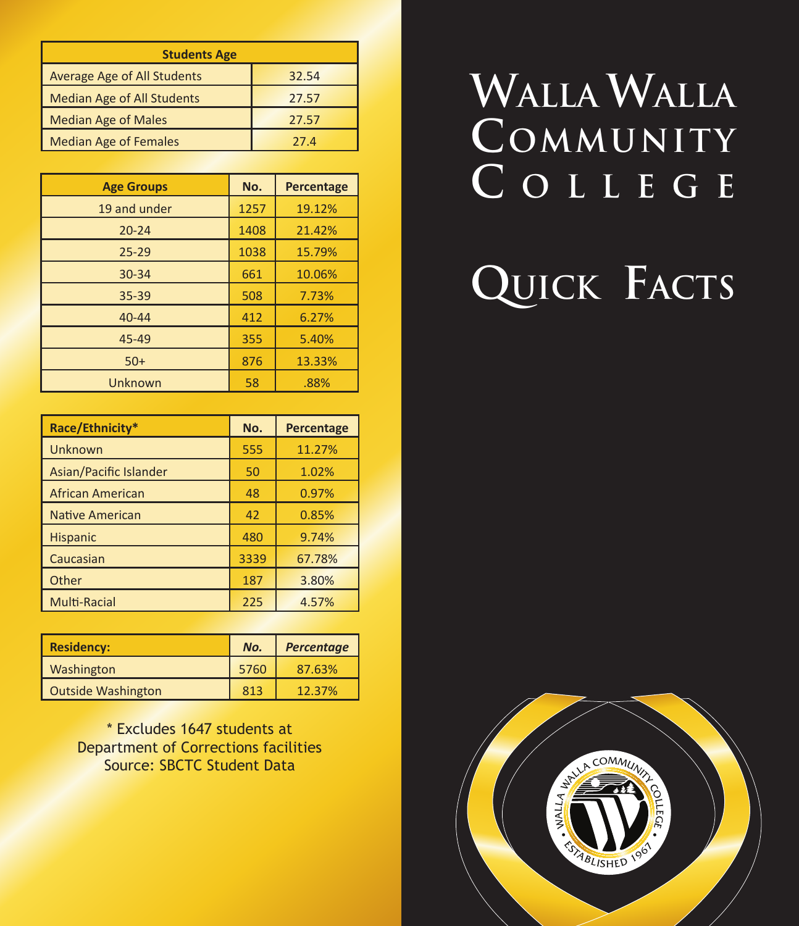| <b>Students Age</b>                |       |  |  |
|------------------------------------|-------|--|--|
| <b>Average Age of All Students</b> | 32.54 |  |  |
| <b>Median Age of All Students</b>  | 27.57 |  |  |
| <b>Median Age of Males</b>         | 27.57 |  |  |
| <b>Median Age of Females</b>       | 27.4  |  |  |

| <b>Age Groups</b> | No.  | <b>Percentage</b> |
|-------------------|------|-------------------|
| 19 and under      | 1257 | 19.12%            |
| $20 - 24$         | 1408 | 21.42%            |
| $25 - 29$         | 1038 | 15.79%            |
| 30-34             | 661  | 10.06%            |
| $35 - 39$         | 508  | 7.73%             |
| $40 - 44$         | 412  | 6.27%             |
| 45-49             | 355  | 5.40%             |
| $50+$             | 876  | 13.33%            |
| Unknown           | 58   | .88%              |

| Race/Ethnicity*        | No.  | Percentage |
|------------------------|------|------------|
| <b>Unknown</b>         | 555  | 11.27%     |
| Asian/Pacific Islander | 50   | 1.02%      |
| African American       | 48   | 0.97%      |
| <b>Native American</b> | 42   | 0.85%      |
| <b>Hispanic</b>        | 480  | 9.74%      |
| Caucasian              | 3339 | 67.78%     |
| Other                  | 187  | 3.80%      |
| <b>Multi-Racial</b>    | 225  | 4.57%      |

| <b>Residency:</b>         | No.  | <b>Percentage</b> |
|---------------------------|------|-------------------|
| Washington                | 5760 | 87.63%            |
| <b>Outside Washington</b> | 813  | 12.37%            |

\* Excludes 1647 students at Department of Corrections facilities Source: SBCTC Student Data

# **Walla Walla Community C o l l e g e**

# **Quick Facts**